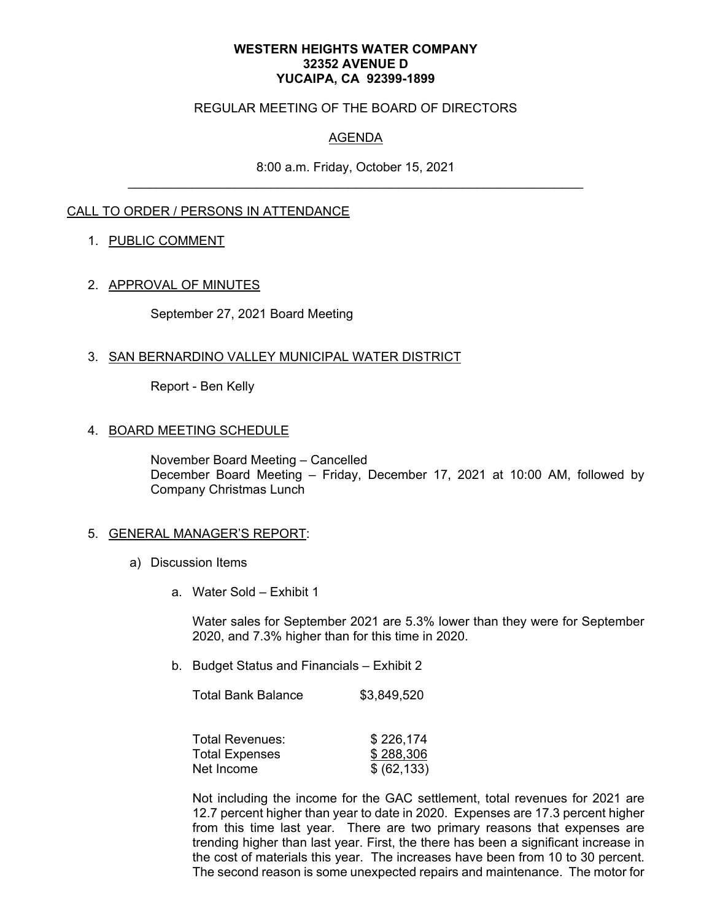#### **WESTERN HEIGHTS WATER COMPANY 32352 AVENUE D YUCAIPA, CA 92399-1899**

### REGULAR MEETING OF THE BOARD OF DIRECTORS

# AGENDA

8:00 a.m. Friday, October 15, 2021

## CALL TO ORDER / PERSONS IN ATTENDANCE

#### 1. PUBLIC COMMENT

## 2. APPROVAL OF MINUTES

September 27, 2021 Board Meeting

#### 3. SAN BERNARDINO VALLEY MUNICIPAL WATER DISTRICT

Report - Ben Kelly

### 4. BOARD MEETING SCHEDULE

November Board Meeting – Cancelled December Board Meeting – Friday, December 17, 2021 at 10:00 AM, followed by Company Christmas Lunch

#### 5. GENERAL MANAGER'S REPORT:

- a) Discussion Items
	- a. Water Sold Exhibit 1

Water sales for September 2021 are 5.3% lower than they were for September 2020, and 7.3% higher than for this time in 2020.

b. Budget Status and Financials – Exhibit 2

Total Bank Balance \$3,849,520

| <b>Total Revenues:</b> | \$226,174    |
|------------------------|--------------|
| <b>Total Expenses</b>  | \$288,306    |
| Net Income             | \$ (62, 133) |

Not including the income for the GAC settlement, total revenues for 2021 are 12.7 percent higher than year to date in 2020. Expenses are 17.3 percent higher from this time last year. There are two primary reasons that expenses are trending higher than last year. First, the there has been a significant increase in the cost of materials this year. The increases have been from 10 to 30 percent. The second reason is some unexpected repairs and maintenance. The motor for